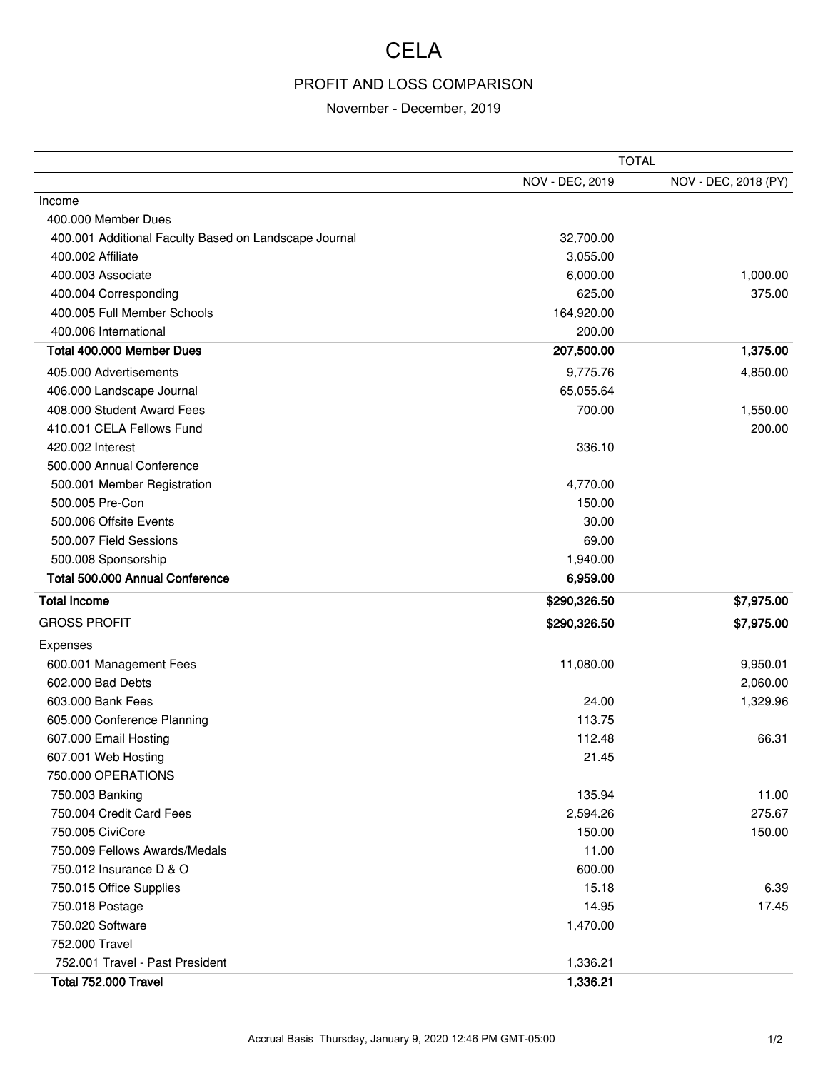## **CELA**

## PROFIT AND LOSS COMPARISON

## November - December, 2019

|                                                       | <b>TOTAL</b>    |                      |
|-------------------------------------------------------|-----------------|----------------------|
|                                                       | NOV - DEC, 2019 | NOV - DEC, 2018 (PY) |
| Income                                                |                 |                      |
| 400.000 Member Dues                                   |                 |                      |
| 400.001 Additional Faculty Based on Landscape Journal | 32,700.00       |                      |
| 400.002 Affiliate                                     | 3,055.00        |                      |
| 400.003 Associate                                     | 6,000.00        | 1,000.00             |
| 400.004 Corresponding                                 | 625.00          | 375.00               |
| 400.005 Full Member Schools                           | 164,920.00      |                      |
| 400.006 International                                 | 200.00          |                      |
| Total 400.000 Member Dues                             | 207,500.00      | 1,375.00             |
| 405,000 Advertisements                                | 9,775.76        | 4,850.00             |
| 406.000 Landscape Journal                             | 65,055.64       |                      |
| 408.000 Student Award Fees                            | 700.00          | 1,550.00             |
| 410.001 CELA Fellows Fund                             |                 | 200.00               |
| 420.002 Interest                                      | 336.10          |                      |
| 500.000 Annual Conference                             |                 |                      |
| 500.001 Member Registration                           | 4,770.00        |                      |
| 500.005 Pre-Con                                       | 150.00          |                      |
| 500.006 Offsite Events                                | 30.00           |                      |
| 500.007 Field Sessions                                | 69.00           |                      |
| 500.008 Sponsorship                                   | 1,940.00        |                      |
| Total 500.000 Annual Conference                       | 6,959.00        |                      |
| <b>Total Income</b>                                   | \$290,326.50    | \$7,975.00           |
| <b>GROSS PROFIT</b>                                   | \$290,326.50    | \$7,975.00           |
| Expenses                                              |                 |                      |
| 600.001 Management Fees                               | 11,080.00       | 9,950.01             |
| 602,000 Bad Debts                                     |                 | 2,060.00             |
| 603.000 Bank Fees                                     | 24.00           | 1,329.96             |
| 605.000 Conference Planning                           | 113.75          |                      |
| 607.000 Email Hosting                                 | 112.48          | 66.31                |
| 607.001 Web Hosting                                   | 21.45           |                      |
| 750.000 OPERATIONS                                    |                 |                      |
| 750.003 Banking                                       | 135.94          | 11.00                |
| 750.004 Credit Card Fees                              | 2,594.26        | 275.67               |
| 750.005 CiviCore                                      | 150.00          | 150.00               |
| 750.009 Fellows Awards/Medals                         | 11.00           |                      |
| 750.012 Insurance D & O                               | 600.00          |                      |
| 750.015 Office Supplies                               | 15.18           | 6.39                 |
| 750.018 Postage                                       | 14.95           | 17.45                |
| 750.020 Software                                      | 1,470.00        |                      |
| 752.000 Travel                                        |                 |                      |
| 752.001 Travel - Past President                       | 1,336.21        |                      |
| Total 752.000 Travel                                  | 1,336.21        |                      |